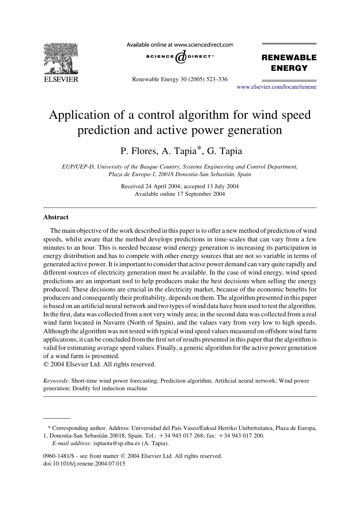

Available online at www.sciencedirect.com



Renewable Energy 30 (2005) 523–536



[www.elsevier.com/locate/renene](http://www.elsevier.com/locate/renene)

## Application of a control algorithm for wind speed prediction and active power generation

P. Flores, A. Tapia\*, G. Tapia

EUP/UEP-D, University of the Basque Country, Systems Engineering and Control Department, Plaza de Europa-1, 20018 Donostia-San Sebastián, Spain

> Received 24 April 2004; accepted 13 July 2004 Available online 17 September 2004

#### Abstract

The main objective of the work described in this paper is to offer a new method of prediction of wind speeds, whilst aware that the method develops predictions in time-scales that can vary from a few minutes to an hour. This is needed because wind energy generation is increasing its participation in energy distribution and has to compete with other energy sources that are not so variable in terms of generated active power. It is important to consider that active power demand can vary quite rapidly and different sources of electricity generation must be available. In the case of wind energy, wind speed predictions are an important tool to help producers make the best decisions when selling the energy produced. These decisions are crucial in the electricity market, because of the economic benefits for producers and consequently their profitability, depends on them. The algorithm presented in this paper is based on an artificial neural network and two types of wind data have been used to test the algorithm. In the first, data was collected from a not very windy area; in the second data was collected from a real wind farm located in Navarre (North of Spain), and the values vary from very low to high speeds. Although the algorithm was not tested with typical wind speed values measured on offshore wind farm applications, it can be concluded from the first set of results presented in this paper that the algorithm is valid for estimating average speed values. Finally, a generic algorithm for the active power generation of a wind farm is presented.

 $Q$  2004 Elsevier Ltd. All rights reserved.

Keywords: Short-time wind power forecasting; Prediction algorithm; Artificial neural network; Wind power generation; Doubly fed induction machine

<sup>\*</sup> Corresponding author. Address: Universidad del Paı´s Vasco/Euksal Herriko Unibertsitatea, Plaza de Europa,

<sup>1,</sup> Donostia-San Sebastián 20018, Spain. Tel.: +34 943 017 268; fax: +34 943 017 200. E-mail address: isptaota@sp.ehu.es (A. Tapia).

<sup>0960-1481/\$ -</sup> see front matter © 2004 Elsevier Ltd. All rights reserved. doi:10.1016/j.renene.2004.07.015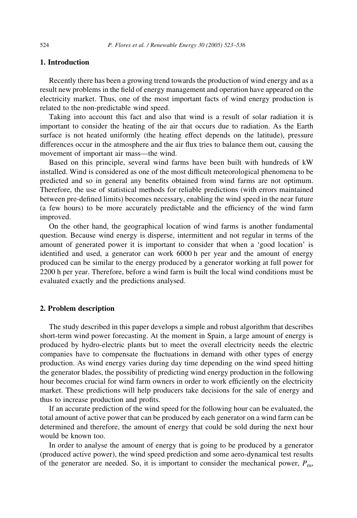## 1. Introduction

Recently there has been a growing trend towards the production of wind energy and as a result new problems in the field of energy management and operation have appeared on the electricity market. Thus, one of the most important facts of wind energy production is related to the non-predictable wind speed.

Taking into account this fact and also that wind is a result of solar radiation it is important to consider the heating of the air that occurs due to radiation. As the Earth surface is not heated uniformly (the heating effect depends on the latitude), pressure differences occur in the atmosphere and the air flux tries to balance them out, causing the movement of important air mass—the wind.

Based on this principle, several wind farms have been built with hundreds of kW installed. Wind is considered as one of the most difficult meteorological phenomena to be predicted and so in general any benefits obtained from wind farms are not optimum. Therefore, the use of statistical methods for reliable predictions (with errors maintained between pre-defined limits) becomes necessary, enabling the wind speed in the near future (a few hours) to be more accurately predictable and the efficiency of the wind farm improved.

On the other hand, the geographical location of wind farms is another fundamental question. Because wind energy is disperse, intermittent and not regular in terms of the amount of generated power it is important to consider that when a 'good location' is identified and used, a generator can work 6000 h per year and the amount of energy produced can be similar to the energy produced by a generator working at full power for 2200 h per year. Therefore, before a wind farm is built the local wind conditions must be evaluated exactly and the predictions analysed.

### 2. Problem description

The study described in this paper develops a simple and robust algorithm that describes short-term wind power forecasting. At the moment in Spain, a large amount of energy is produced by hydro-electric plants but to meet the overall electricity needs the electric companies have to compensate the fluctuations in demand with other types of energy production. As wind energy varies during day time depending on the wind speed hitting the generator blades, the possibility of predicting wind energy production in the following hour becomes crucial for wind farm owners in order to work efficiently on the electricity market. These predictions will help producers take decisions for the sale of energy and thus to increase production and profits.

If an accurate prediction of the wind speed for the following hour can be evaluated, the total amount of active power that can be produced by each generator on a wind farm can be determined and therefore, the amount of energy that could be sold during the next hour would be known too.

In order to analyse the amount of energy that is going to be produced by a generator (produced active power), the wind speed prediction and some aero-dynamical test results of the generator are needed. So, it is important to consider the mechanical power,  $P_m$ ,